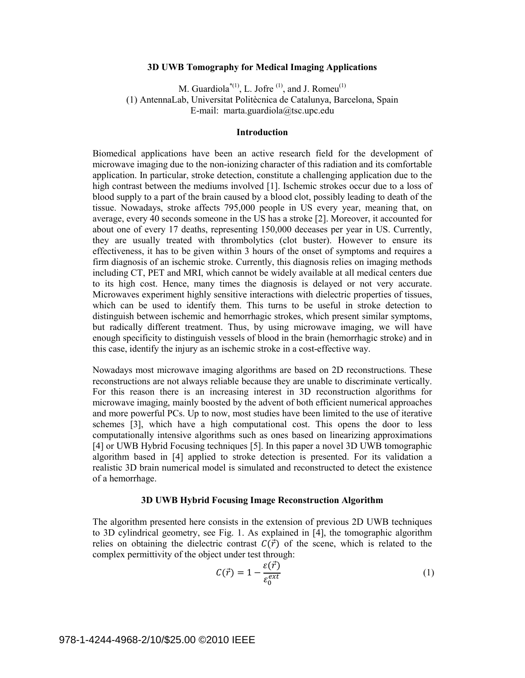## **3D UWB Tomography for Medical Imaging Applications**

M. Guardiola<sup>\*(1)</sup>, L. Jofre<sup>(1)</sup>, and J. Romeu<sup>(1)</sup> (1) AntennaLab, Universitat Politècnica de Catalunya, Barcelona, Spain E-mail: marta.guardiola@tsc.upc.edu

# **Introduction**

Biomedical applications have been an active research field for the development of microwave imaging due to the non-ionizing character of this radiation and its comfortable application. In particular, stroke detection, constitute a challenging application due to the high contrast between the mediums involved [1]. Ischemic strokes occur due to a loss of blood supply to a part of the brain caused by a blood clot, possibly leading to death of the tissue. Nowadays, stroke affects 795,000 people in US every year, meaning that, on average, every 40 seconds someone in the US has a stroke [2]. Moreover, it accounted for about one of every 17 deaths, representing 150,000 deceases per year in US. Currently, they are usually treated with thrombolytics (clot buster). However to ensure its effectiveness, it has to be given within 3 hours of the onset of symptoms and requires a firm diagnosis of an ischemic stroke. Currently, this diagnosis relies on imaging methods including CT, PET and MRI, which cannot be widely available at all medical centers due to its high cost. Hence, many times the diagnosis is delayed or not very accurate. Microwaves experiment highly sensitive interactions with dielectric properties of tissues, which can be used to identify them. This turns to be useful in stroke detection to distinguish between ischemic and hemorrhagic strokes, which present similar symptoms, but radically different treatment. Thus, by using microwave imaging, we will have enough specificity to distinguish vessels of blood in the brain (hemorrhagic stroke) and in this case, identify the injury as an ischemic stroke in a cost-effective way.

Nowadays most microwave imaging algorithms are based on 2D reconstructions. These reconstructions are not always reliable because they are unable to discriminate vertically. For this reason there is an increasing interest in 3D reconstruction algorithms for microwave imaging, mainly boosted by the advent of both efficient numerical approaches and more powerful PCs. Up to now, most studies have been limited to the use of iterative schemes [3], which have a high computational cost. This opens the door to less computationally intensive algorithms such as ones based on linearizing approximations [4] or UWB Hybrid Focusing techniques [5]. In this paper a novel 3D UWB tomographic algorithm based in [4] applied to stroke detection is presented. For its validation a realistic 3D brain numerical model is simulated and reconstructed to detect the existence of a hemorrhage.

# **3D UWB Hybrid Focusing Image Reconstruction Algorithm**

The algorithm presented here consists in the extension of previous 2D UWB techniques to 3D cylindrical geometry, see Fig. 1. As explained in [4], the tomographic algorithm relies on obtaining the dielectric contrast  $C(\vec{r})$  of the scene, which is related to the complex permittivity of the object under test through:

$$
C(\vec{r}) = 1 - \frac{\varepsilon(\vec{r})}{\varepsilon_0^{ext}} \tag{1}
$$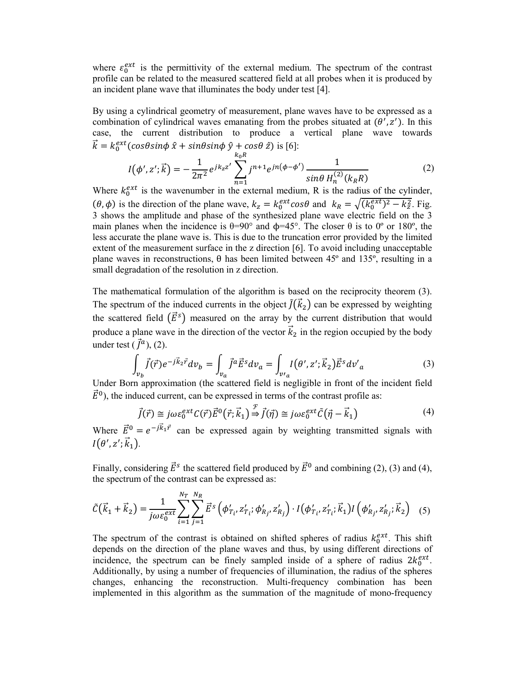where  $\varepsilon_0^{ext}$  is the permittivity of the external medium. The spectrum of the contrast profile can be related to the measured scattered field at all probes when it is produced by an incident plane wave that illuminates the body under test [4].

By using a cylindrical geometry of measurement, plane waves have to be expressed as a combination of cylindrical waves emanating from the probes situated at  $(\theta', z')$ . In this case, the current distribution to produce a vertical plane wave towards  $\vec{k} = k_0^{ext}(\cos\theta \sin\phi \hat{x} + \sin\theta \sin\phi \hat{y} + \cos\theta \hat{z})$  is [6]:

$$
I(\phi', z'; \vec{k}) = -\frac{1}{2\pi^2} e^{jk_z z'} \sum_{n=1}^{k_0 R} j^{n+1} e^{jn(\phi - \phi')} \frac{1}{\sin\theta \, H_n^{(2)}(k_R R)} \tag{2}
$$

Where  $k_0^{ext}$  is the wavenumber in the external medium, R is the radius of the cylinder,  $(\theta, \phi)$  is the direction of the plane wave,  $k_z = k_0^{ext} \cos\theta$  and  $k_R = \sqrt{(k_0^{ext})^2 - k_z^2}$ . Fig. 3 shows the amplitude and phase of the synthesized plane wave electric field on the 3 main planes when the incidence is  $\theta = 90^\circ$  and  $\phi = 45^\circ$ . The closer  $\theta$  is to  $0^\circ$  or 180°, the less accurate the plane wave is. This is due to the truncation error provided by the limited extent of the measurement surface in the z direction [6]. To avoid including unacceptable plane waves in reconstructions,  $θ$  has been limited between 45 $°$  and 135 $°$ , resulting in a small degradation of the resolution in z direction.

The mathematical formulation of the algorithm is based on the reciprocity theorem (3). The spectrum of the induced currents in the object  $\tilde{J}(\vec{k}_2)$  can be expressed by weighting the scattered field  $(\vec{E}^s)$  measured on the array by the current distribution that would produce a plane wave in the direction of the vector  $\vec{k}_2$  in the region occupied by the body under test  $(\vec{J}^a)$ , (2).

$$
\int_{v_b} \vec{f}(\vec{r}) e^{-j\vec{k}_2 \vec{r}} dv_b = \int_{v_a} \vec{f}^a \vec{E}^s dv_a = \int_{v/a} I(\theta', z'; \vec{k}_2) \vec{E}^s dv'_a
$$
\n(3)

Under Born approximation (the scattered field is negligible in front of the incident field  $\vec{E}^0$ ), the induced current, can be expressed in terms of the contrast profile as:

$$
\vec{J}(\vec{r}) \cong j\omega\varepsilon_0^{ext} C(\vec{r}) \vec{E}^0(\vec{r}; \vec{k}_1) \stackrel{\mathcal{F}}{\Rightarrow} \vec{J}(\vec{\eta}) \cong j\omega\varepsilon_0^{ext} \tilde{C}(\vec{\eta} - \vec{k}_1)
$$
(4)

Where  $\vec{E}^0 = e^{-j\vec{k}_1 \vec{r}}$  can be expressed again by weighting transmitted signals with  $I(\theta', z'; \vec{k}_1).$ 

Finally, considering  $\vec{E}^s$  the scattered field produced by  $\vec{E}^0$  and combining (2), (3) and (4), the spectrum of the contrast can be expressed as:

$$
\tilde{C}(\vec{k}_1 + \vec{k}_2) = \frac{1}{j\omega\varepsilon_0^{ext}} \sum_{i=1}^{N_T} \sum_{j=1}^{N_R} \vec{E}^s \left( \phi'_{T_i}, z'_{T_i}; \phi'_{R_j}, z'_{R_j} \right) \cdot I(\phi'_{T_i}, z'_{T_i}; \vec{k}_1) I(\phi'_{R_j}, z'_{R_j}; \vec{k}_2) \tag{5}
$$

The spectrum of the contrast is obtained on shifted spheres of radius  $k_0^{ext}$ . This shift depends on the direction of the plane waves and thus, by using different directions of incidence, the spectrum can be finely sampled inside of a sphere of radius  $2k_0^{ext}$ . Additionally, by using a number of frequencies of illumination, the radius of the spheres changes, enhancing the reconstruction. Multi-frequency combination has been implemented in this algorithm as the summation of the magnitude of mono-frequency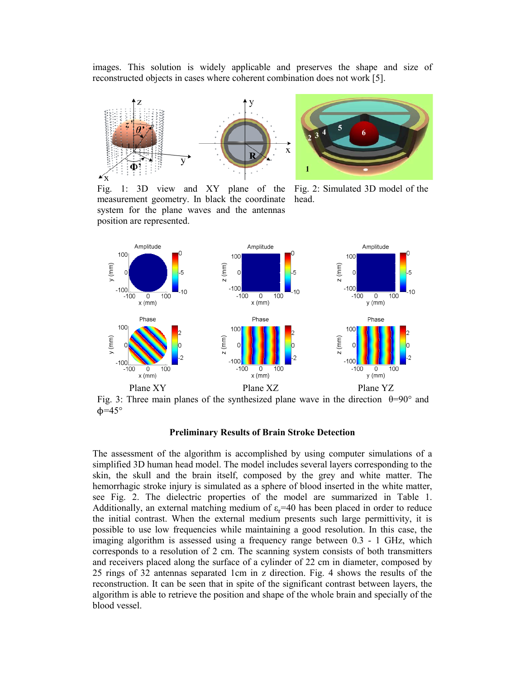images. This solution is widely applicable and preserves the shape and size of reconstructed objects in cases where coherent combination does not work [5].





Fig. 1: 3D view and XY plane of the Fig. 2: Simulated 3D model of the measurement geometry. In black the coordinate head. system for the plane waves and the antennas position are represented.



Fig. 3: Three main planes of the synthesized plane wave in the direction  $\theta=90^\circ$  and  $\phi = 45^{\circ}$ 

## **Preliminary Results of Brain Stroke Detection**

The assessment of the algorithm is accomplished by using computer simulations of a simplified 3D human head model. The model includes several layers corresponding to the skin, the skull and the brain itself, composed by the grey and white matter. The hemorrhagic stroke injury is simulated as a sphere of blood inserted in the white matter, see Fig. 2. The dielectric properties of the model are summarized in Table 1. Additionally, an external matching medium of  $\varepsilon_r$ =40 has been placed in order to reduce the initial contrast. When the external medium presents such large permittivity, it is possible to use low frequencies while maintaining a good resolution. In this case, the imaging algorithm is assessed using a frequency range between 0.3 - 1 GHz, which corresponds to a resolution of 2 cm. The scanning system consists of both transmitters and receivers placed along the surface of a cylinder of 22 cm in diameter, composed by 25 rings of 32 antennas separated 1cm in z direction. Fig. 4 shows the results of the reconstruction. It can be seen that in spite of the significant contrast between layers, the algorithm is able to retrieve the position and shape of the whole brain and specially of the blood vessel.